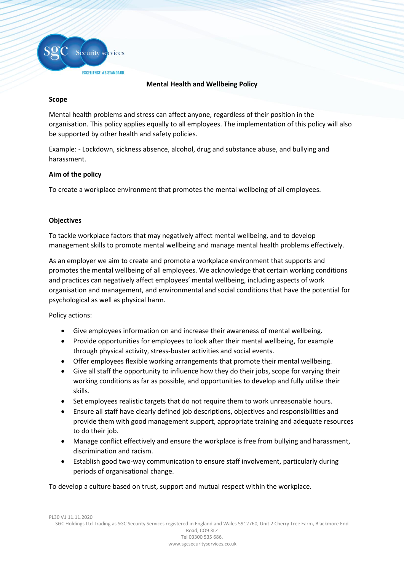

EXCELLENCE AS STANDARD

## **Mental Health and Wellbeing Policy**

## **Scope**

Mental health problems and stress can affect anyone, regardless of their position in the organisation. This policy applies equally to all employees. The implementation of this policy will also be supported by other health and safety policies.

Example: - Lockdown, sickness absence, alcohol, drug and substance abuse, and bullying and harassment.

## **Aim of the policy**

To create a workplace environment that promotes the mental wellbeing of all employees.

# **Objectives**

To tackle workplace factors that may negatively affect mental wellbeing, and to develop management skills to promote mental wellbeing and manage mental health problems effectively.

As an employer we aim to create and promote a workplace environment that supports and promotes the mental wellbeing of all employees. We acknowledge that certain working conditions and practices can negatively affect employees' mental wellbeing, including aspects of work organisation and management, and environmental and social conditions that have the potential for psychological as well as physical harm.

Policy actions:

- Give employees information on and increase their awareness of mental wellbeing.
- Provide opportunities for employees to look after their mental wellbeing, for example through physical activity, stress-buster activities and social events.
- Offer employees flexible working arrangements that promote their mental wellbeing.
- Give all staff the opportunity to influence how they do their jobs, scope for varying their working conditions as far as possible, and opportunities to develop and fully utilise their skills.
- Set employees realistic targets that do not require them to work unreasonable hours.
- Ensure all staff have clearly defined job descriptions, objectives and responsibilities and provide them with good management support, appropriate training and adequate resources to do their job.
- Manage conflict effectively and ensure the workplace is free from bullying and harassment, discrimination and racism.
- Establish good two-way communication to ensure staff involvement, particularly during periods of organisational change.

To develop a culture based on trust, support and mutual respect within the workplace.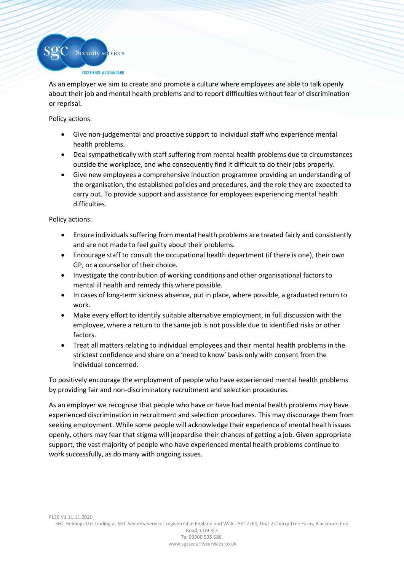

As an employer we aim to create and promote a culture where employees are able to talk openly about their job and mental health problems and to report difficulties without fear of discrimination or reprisal.

Policy actions:

- Give non-judgemental and proactive support to individual staff who experience mental health problems.
- Deal sympathetically with staff suffering from mental health problems due to circumstances outside the workplace, and who consequently find it difficult to do their jobs properly.
- Give new employees a comprehensive induction programme providing an understanding of the organisation, the established policies and procedures, and the role they are expected to carry out. To provide support and assistance for employees experiencing mental health difficulties.

Policy actions:

- Ensure individuals suffering from mental health problems are treated fairly and consistently and are not made to feel guilty about their problems.
- Encourage staff to consult the occupational health department (if there is one), their own GP, or a counsellor of their choice.
- Investigate the contribution of working conditions and other organisational factors to mental ill health and remedy this where possible.
- In cases of long-term sickness absence, put in place, where possible, a graduated return to work.
- Make every effort to identify suitable alternative employment, in full discussion with the employee, where a return to the same job is not possible due to identified risks or other factors.
- Treat all matters relating to individual employees and their mental health problems in the strictest confidence and share on a 'need to know' basis only with consent from the individual concerned.

To positively encourage the employment of people who have experienced mental health problems by providing fair and non-discriminatory recruitment and selection procedures.

As an employer we recognise that people who have or have had mental health problems may have experienced discrimination in recruitment and selection procedures. This may discourage them from seeking employment. While some people will acknowledge their experience of mental health issues openly, others may fear that stigma will jeopardise their chances of getting a job. Given appropriate support, the vast majority of people who have experienced mental health problems continue to work successfully, as do many with ongoing issues.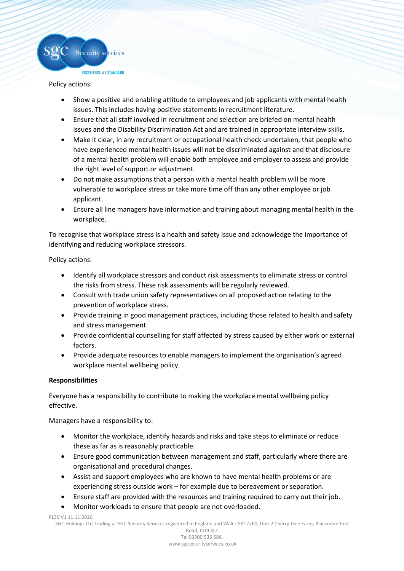

Policy actions:

- Show a positive and enabling attitude to employees and job applicants with mental health issues. This includes having positive statements in recruitment literature.
- Ensure that all staff involved in recruitment and selection are briefed on mental health issues and the Disability Discrimination Act and are trained in appropriate interview skills.
- Make it clear, in any recruitment or occupational health check undertaken, that people who have experienced mental health issues will not be discriminated against and that disclosure of a mental health problem will enable both employee and employer to assess and provide the right level of support or adjustment.
- Do not make assumptions that a person with a mental health problem will be more vulnerable to workplace stress or take more time off than any other employee or job applicant.
- Ensure all line managers have information and training about managing mental health in the workplace.

To recognise that workplace stress is a health and safety issue and acknowledge the importance of identifying and reducing workplace stressors.

Policy actions:

- Identify all workplace stressors and conduct risk assessments to eliminate stress or control the risks from stress. These risk assessments will be regularly reviewed.
- Consult with trade union safety representatives on all proposed action relating to the prevention of workplace stress.
- Provide training in good management practices, including those related to health and safety and stress management.
- Provide confidential counselling for staff affected by stress caused by either work or external factors.
- Provide adequate resources to enable managers to implement the organisation's agreed workplace mental wellbeing policy.

## **Responsibilities**

Everyone has a responsibility to contribute to making the workplace mental wellbeing policy effective.

Managers have a responsibility to:

- Monitor the workplace, identify hazards and risks and take steps to eliminate or reduce these as far as is reasonably practicable.
- Ensure good communication between management and staff, particularly where there are organisational and procedural changes.
- Assist and support employees who are known to have mental health problems or are experiencing stress outside work – for example due to bereavement or separation.
- Ensure staff are provided with the resources and training required to carry out their job.
- Monitor workloads to ensure that people are not overloaded.

PL30 V1 11.11.2020

SGC Holdings Ltd Trading as SGC Security Services registered in England and Wales 5912760, Unit 2 Cherry Tree Farm, Blackmore End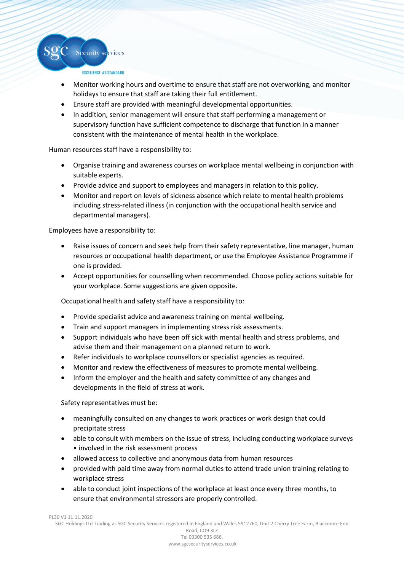

Security services

- Monitor working hours and overtime to ensure that staff are not overworking, and monitor holidays to ensure that staff are taking their full entitlement.
- Ensure staff are provided with meaningful developmental opportunities.
- In addition, senior management will ensure that staff performing a management or supervisory function have sufficient competence to discharge that function in a manner consistent with the maintenance of mental health in the workplace.

Human resources staff have a responsibility to:

- Organise training and awareness courses on workplace mental wellbeing in conjunction with suitable experts.
- Provide advice and support to employees and managers in relation to this policy.
- Monitor and report on levels of sickness absence which relate to mental health problems including stress-related illness (in conjunction with the occupational health service and departmental managers).

Employees have a responsibility to:

- Raise issues of concern and seek help from their safety representative, line manager, human resources or occupational health department, or use the Employee Assistance Programme if one is provided.
- Accept opportunities for counselling when recommended. Choose policy actions suitable for your workplace. Some suggestions are given opposite.

Occupational health and safety staff have a responsibility to:

- Provide specialist advice and awareness training on mental wellbeing.
- Train and support managers in implementing stress risk assessments.
- Support individuals who have been off sick with mental health and stress problems, and advise them and their management on a planned return to work.
- Refer individuals to workplace counsellors or specialist agencies as required.
- Monitor and review the effectiveness of measures to promote mental wellbeing.
- Inform the employer and the health and safety committee of any changes and developments in the field of stress at work.

Safety representatives must be:

- meaningfully consulted on any changes to work practices or work design that could precipitate stress
- able to consult with members on the issue of stress, including conducting workplace surveys • involved in the risk assessment process
- allowed access to collective and anonymous data from human resources
- provided with paid time away from normal duties to attend trade union training relating to workplace stress
- able to conduct joint inspections of the workplace at least once every three months, to ensure that environmental stressors are properly controlled.

PL30 V1 11.11.2020

SGC Holdings Ltd Trading as SGC Security Services registered in England and Wales 5912760, Unit 2 Cherry Tree Farm, Blackmore End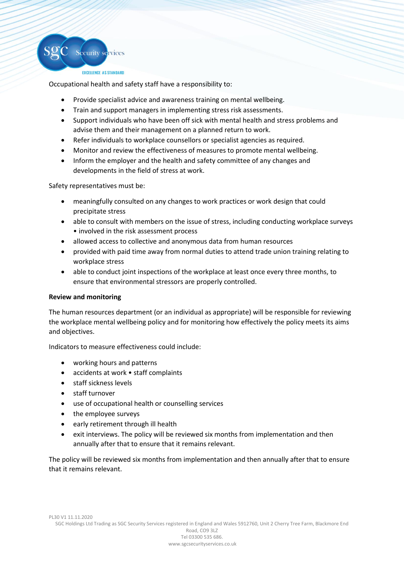

EXCELLENCE AS STANDARD

Occupational health and safety staff have a responsibility to:

- Provide specialist advice and awareness training on mental wellbeing.
- Train and support managers in implementing stress risk assessments.
- Support individuals who have been off sick with mental health and stress problems and advise them and their management on a planned return to work.
- Refer individuals to workplace counsellors or specialist agencies as required.
- Monitor and review the effectiveness of measures to promote mental wellbeing.
- Inform the employer and the health and safety committee of any changes and developments in the field of stress at work.

Safety representatives must be:

- meaningfully consulted on any changes to work practices or work design that could precipitate stress
- able to consult with members on the issue of stress, including conducting workplace surveys • involved in the risk assessment process
- allowed access to collective and anonymous data from human resources
- provided with paid time away from normal duties to attend trade union training relating to workplace stress
- able to conduct joint inspections of the workplace at least once every three months, to ensure that environmental stressors are properly controlled.

## **Review and monitoring**

The human resources department (or an individual as appropriate) will be responsible for reviewing the workplace mental wellbeing policy and for monitoring how effectively the policy meets its aims and objectives.

Indicators to measure effectiveness could include:

- working hours and patterns
- accidents at work staff complaints
- staff sickness levels
- staff turnover
- use of occupational health or counselling services
- the employee surveys
- early retirement through ill health
- exit interviews. The policy will be reviewed six months from implementation and then annually after that to ensure that it remains relevant.

The policy will be reviewed six months from implementation and then annually after that to ensure that it remains relevant.